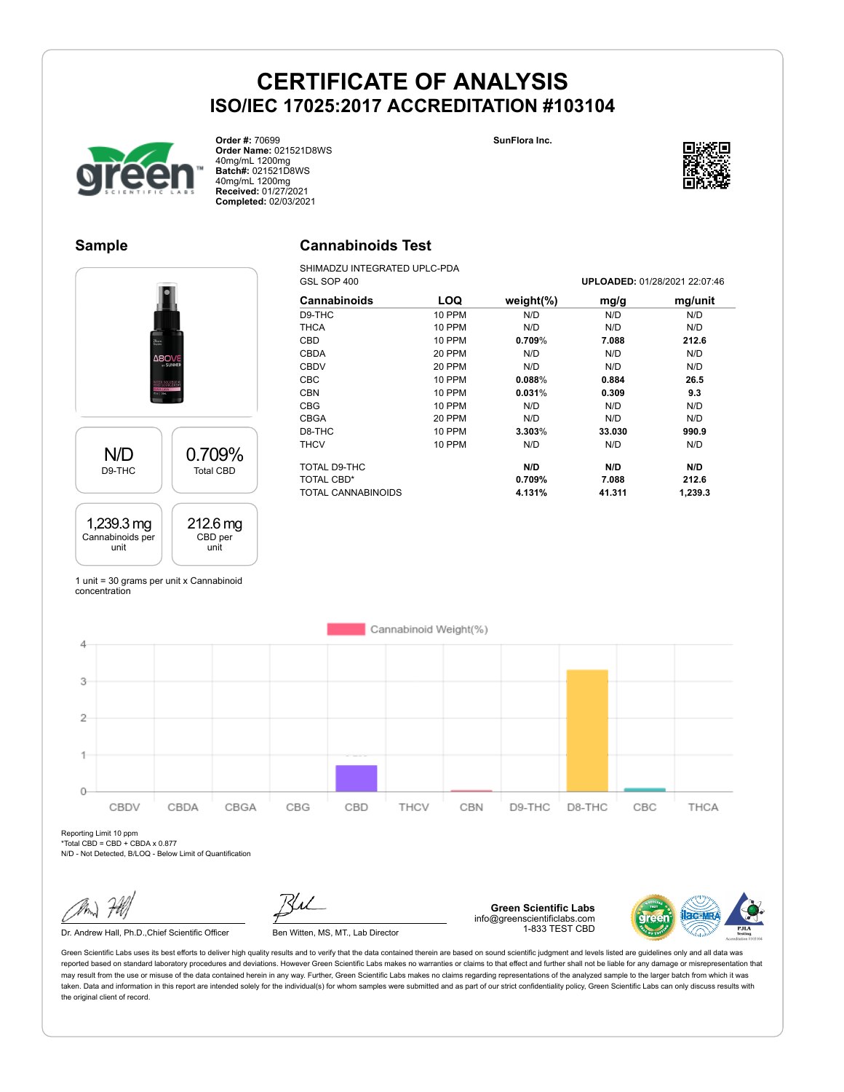**SunFlora Inc.**



**Order #:** 70699 **Order Name:** 021521D8WS 40mg/mL 1200mg **Batch#:** 021521D8WS 40mg/mL 1200mg **Received:** 01/27/2021 **Completed:** 02/03/2021



### **Sample**



SHIMADZU INTEGRATED UPLC-PDA

| 84<br><b>CHIMME</b> |                       |  |  |
|---------------------|-----------------------|--|--|
| N/D                 | 0.709%                |  |  |
| D9-THC              | <b>Total CBD</b>      |  |  |
| 1,239.3 mg          | $212.6 \,\mathrm{mg}$ |  |  |
| Cannabinoids per    | CBD per               |  |  |
| unit                | unit                  |  |  |

| GSL SOP 400        |               |               |        | UPLOADED: 01/28/2021 22:07:46 |
|--------------------|---------------|---------------|--------|-------------------------------|
| Cannabinoids       | LOQ           | weight $(\%)$ | mg/g   | mg/unit                       |
| D9-THC             | 10 PPM        | N/D           | N/D    | N/D                           |
| <b>THCA</b>        | <b>10 PPM</b> | N/D           | N/D    | N/D                           |
| CBD                | <b>10 PPM</b> | $0.709\%$     | 7.088  | 212.6                         |
| <b>CBDA</b>        | 20 PPM        | N/D           | N/D    | N/D                           |
| <b>CBDV</b>        | 20 PPM        | N/D           | N/D    | N/D                           |
| CBC                | <b>10 PPM</b> | 0.088%        | 0.884  | 26.5                          |
| <b>CBN</b>         | <b>10 PPM</b> | 0.031%        | 0.309  | 9.3                           |
| <b>CBG</b>         | <b>10 PPM</b> | N/D           | N/D    | N/D                           |
| <b>CBGA</b>        | 20 PPM        | N/D           | N/D    | N/D                           |
| D8-THC             | 10 PPM        | 3.303%        | 33.030 | 990.9                         |
| <b>THCV</b>        | 10 PPM        | N/D           | N/D    | N/D                           |
| TOTAL D9-THC       |               | N/D           | N/D    | N/D                           |
| TOTAL CBD*         |               | 0.709%        | 7.088  | 212.6                         |
| TOTAL CANNABINOIDS |               | 4.131%        | 41.311 | 1,239.3                       |

1 unit = 30 grams per unit x Cannabinoid concentration



Reporting Limit 10 ppm  $*$ Total CBD = CBD + CBDA x 0.877

N/D - Not Detected, B/LOQ - Below Limit of Quantification

Dr. Andrew Hall, Ph.D., Chief Scientific Officer Ben Witten, MS, MT., Lab Director

**Green Scientific Labs** info@greenscientificlabs.com 1-833 TEST CBD

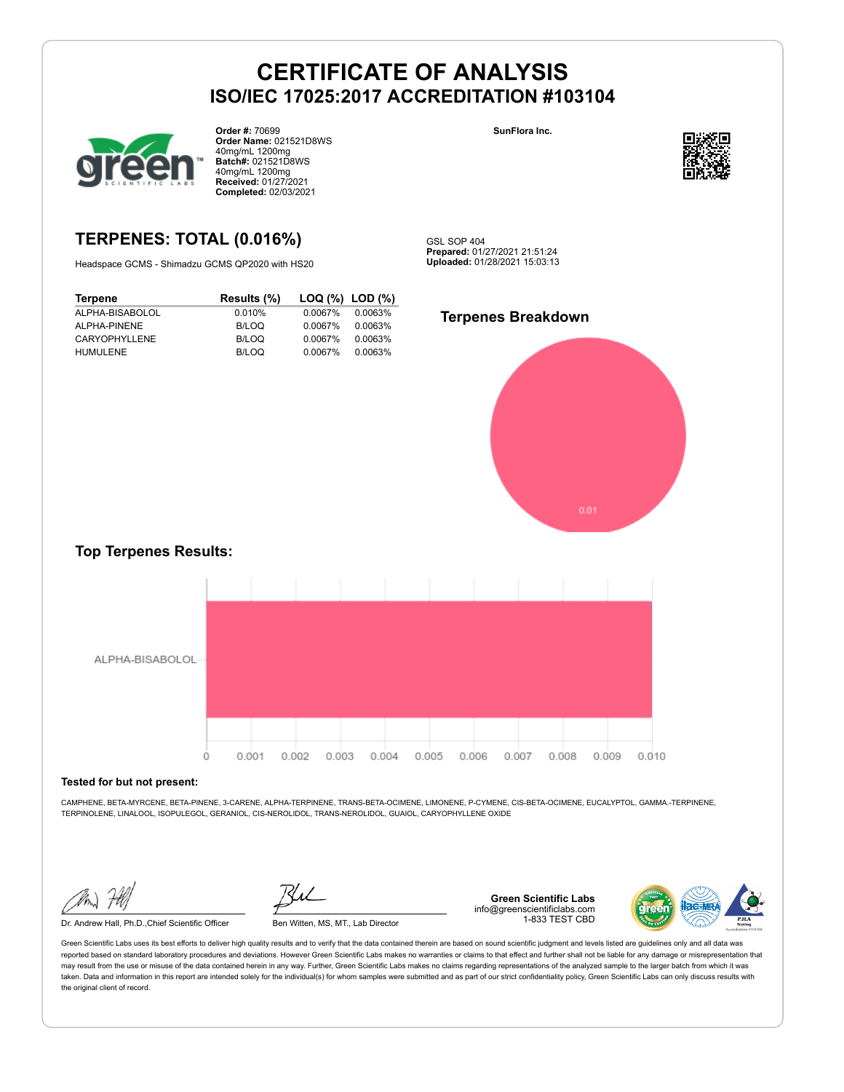

**Order #:** 70699 **Order Name:** 021521D8WS 40mg/mL 1200mg **Batch#:** 021521D8WS 40mg/mL 1200mg **Received:** 01/27/2021 **Completed:** 02/03/2021

# **TERPENES: TOTAL (0.016%)**

Headspace GCMS - Shimadzu GCMS QP2020 with HS20

**Terpene Results (%) LOQ (%) LOD (%)** ALPHA-BISABOLOL 0.010% 0.0067% 0.0063% ALPHA-PINENE B/LOQ 0.0067% 0.0063% CARYOPHYLLENE B/LOQ 0.0067% 0.0063% HUMULENE B/LOQ 0.0067% 0.0063%

**SunFlora Inc.**



GSL SOP 404 **Prepared:** 01/27/2021 21:51:24 **Uploaded:** 01/28/2021 15:03:13

### **Terpenes Breakdown**



### **Top Terpenes Results:**



#### **Tested for but not present:**

CAMPHENE, BETA-MYRCENE, BETA-PINENE, 3-CARENE, ALPHA-TERPINENE, TRANS-BETA-OCIMENE, LIMONENE, P-CYMENE, CIS-BETA-OCIMENE, EUCALYPTOL, GAMMA.-TERPINENE, TERPINOLENE, LINALOOL, ISOPULEGOL, GERANIOL, CIS-NEROLIDOL, TRANS-NEROLIDOL, GUAIOL, CARYOPHYLLENE OXIDE

Dr. Andrew Hall, Ph.D.,Chief Scientific Officer Ben Witten, MS, MT., Lab Director

**Green Scientific Labs** info@greenscientificlabs.com 1-833 TEST CBD

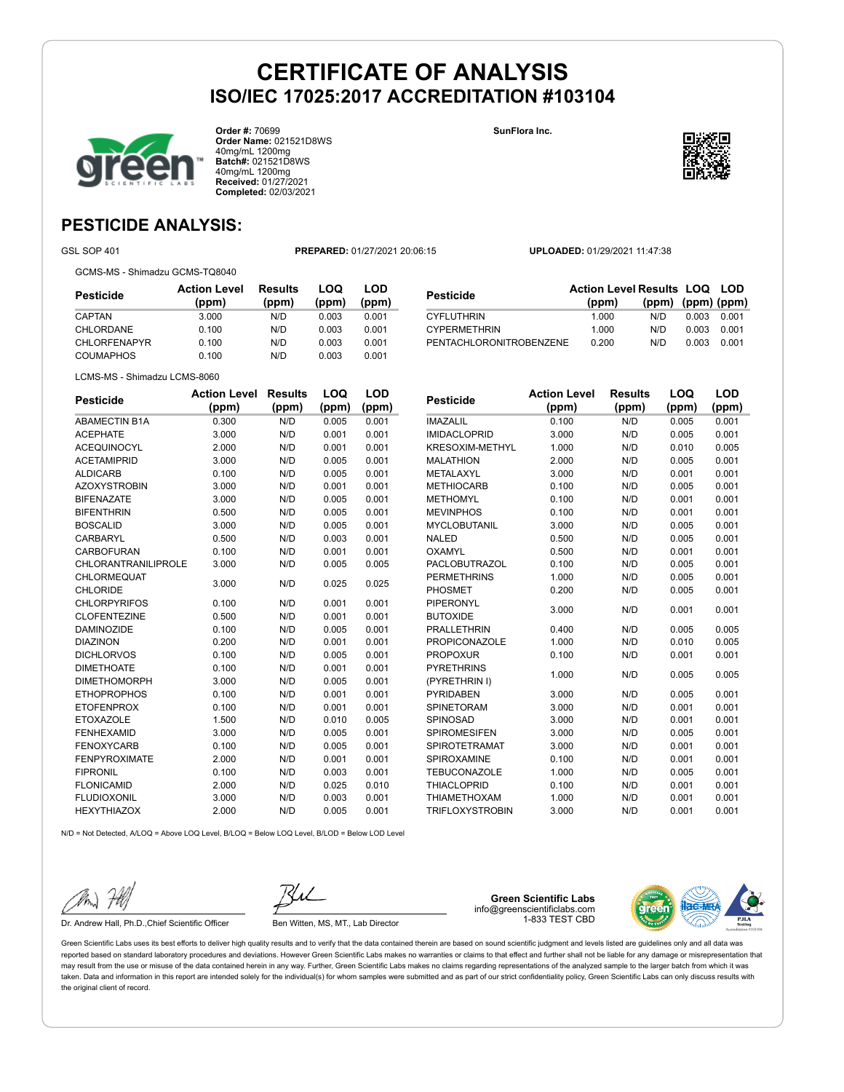

**Order #:** 70699 **Order Name:** 021521D8WS 40mg/mL 1200mg **Batch#:** 021521D8WS 40mg/mL 1200mg **Received:** 01/27/2021 **Completed:** 02/03/2021

**SunFlora Inc.**



# **PESTICIDE ANALYSIS:**

GSL SOP 401 **PREPARED:** 01/27/2021 20:06:15 **UPLOADED:** 01/29/2021 11:47:38

GCMS-MS - Shimadzu GCMS-TQ8040

| Pesticide           | <b>Action Level</b><br>(ppm) | Results<br>(ppm) | LOQ<br>(ppm) | LOD<br>(ppm) |
|---------------------|------------------------------|------------------|--------------|--------------|
| CAPTAN              | 3.000                        | N/D              | 0.003        | 0.001        |
| CHLORDANE           | 0.100                        | N/D              | 0.003        | 0.001        |
| <b>CHLORFENAPYR</b> | 0.100                        | N/D              | 0.003        | 0.001        |
| COUMAPHOS           | 0.100                        | N/D              | 0.003        | 0.001        |

| Pesticide               | <b>Action Level Results LOQ LOD</b> |                         |       |       |
|-------------------------|-------------------------------------|-------------------------|-------|-------|
|                         | (ppm)                               | $(ppm)$ $(ppm)$ $(ppm)$ |       |       |
| CYFLUTHRIN              | 1.000                               | N/D                     | 0.003 | 0.001 |
| <b>CYPERMETHRIN</b>     | 1.000                               | N/D                     | 0.003 | 0.001 |
| PENTACHLORONITROBENZENE | 0.200                               | N/D                     | 0.003 | 0.001 |

LCMS-MS - Shimadzu LCMS-8060

| <b>Pesticide</b>           | <b>Action Level</b> | <b>Results</b> | LOQ   | <b>LOD</b> |
|----------------------------|---------------------|----------------|-------|------------|
|                            | (ppm)               | (ppm)          | (ppm) | (ppm)      |
| <b>ABAMECTIN B1A</b>       | 0.300               | N/D            | 0.005 | 0.001      |
| <b>ACEPHATE</b>            | 3.000               | N/D            | 0.001 | 0.001      |
| <b>ACEQUINOCYL</b>         | 2.000               | N/D            | 0.001 | 0.001      |
| <b>ACETAMIPRID</b>         | 3.000               | N/D            | 0.005 | 0.001      |
| <b>ALDICARB</b>            | 0.100               | N/D            | 0.005 | 0.001      |
| <b>AZOXYSTROBIN</b>        | 3.000               | N/D            | 0.001 | 0.001      |
| <b>BIFENAZATE</b>          | 3.000               | N/D            | 0.005 | 0.001      |
| <b>BIFENTHRIN</b>          | 0.500               | N/D            | 0.005 | 0.001      |
| <b>BOSCALID</b>            | 3.000               | N/D            | 0.005 | 0.001      |
| <b>CARBARYL</b>            | 0.500               | N/D            | 0.003 | 0.001      |
| <b>CARBOFURAN</b>          | 0.100               | N/D            | 0.001 | 0.001      |
| <b>CHLORANTRANILIPROLE</b> | 3.000               | N/D            | 0.005 | 0.005      |
| CHLORMEQUAT                | 3.000               | N/D            | 0.025 | 0.025      |
| <b>CHLORIDE</b>            |                     |                |       |            |
| <b>CHLORPYRIFOS</b>        | 0.100               | N/D            | 0.001 | 0.001      |
| <b>CLOFENTEZINE</b>        | 0.500               | N/D            | 0.001 | 0.001      |
| <b>DAMINOZIDE</b>          | 0.100               | N/D            | 0.005 | 0.001      |
| <b>DIAZINON</b>            | 0.200               | N/D            | 0.001 | 0.001      |
| <b>DICHLORVOS</b>          | 0.100               | N/D            | 0.005 | 0.001      |
| <b>DIMETHOATE</b>          | 0.100               | N/D            | 0.001 | 0.001      |
| <b>DIMETHOMORPH</b>        | 3.000               | N/D            | 0.005 | 0.001      |
| <b>ETHOPROPHOS</b>         | 0.100               | N/D            | 0.001 | 0.001      |
| <b>ETOFENPROX</b>          | 0.100               | N/D            | 0.001 | 0.001      |
| <b>ETOXAZOLE</b>           | 1.500               | N/D            | 0.010 | 0.005      |
| <b>FENHEXAMID</b>          | 3.000               | N/D            | 0.005 | 0.001      |
| <b>FENOXYCARB</b>          | 0.100               | N/D            | 0.005 | 0.001      |
| <b>FENPYROXIMATE</b>       | 2.000               | N/D            | 0.001 | 0.001      |
| <b>FIPRONIL</b>            | 0.100               | N/D            | 0.003 | 0.001      |
| <b>FLONICAMID</b>          | 2.000               | N/D            | 0.025 | 0.010      |
| <b>FLUDIOXONIL</b>         | 3.000               | N/D            | 0.003 | 0.001      |
| <b>HEXYTHIAZOX</b>         | 2.000               | N/D            | 0.005 | 0.001      |
|                            |                     |                |       |            |

| <b>Pesticide</b>     | <b>Action Level</b> | Results | LOQ   | LOD   |
|----------------------|---------------------|---------|-------|-------|
|                      | (ppm)               | (ppm)   | (ppm) | (ppm) |
| <b>IMAZALIL</b>      | 0.100               | N/D     | 0.005 | 0.001 |
| <b>IMIDACLOPRID</b>  | 3.000               | N/D     | 0.005 | 0.001 |
| KRESOXIM-METHYL      | 1.000               | N/D     | 0.010 | 0.005 |
| <b>MALATHION</b>     | 2.000               | N/D     | 0.005 | 0.001 |
| METALAXYL            | 3.000               | N/D     | 0.001 | 0.001 |
| <b>METHIOCARB</b>    | 0.100               | N/D     | 0.005 | 0.001 |
| <b>METHOMYL</b>      | 0.100               | N/D     | 0.001 | 0.001 |
| <b>MEVINPHOS</b>     | 0.100               | N/D     | 0.001 | 0.001 |
| <b>MYCLOBUTANIL</b>  | 3.000               | N/D     | 0.005 | 0.001 |
| <b>NALED</b>         | 0.500               | N/D     | 0.005 | 0.001 |
| OXAMYL               | 0.500               | N/D     | 0.001 | 0.001 |
| <b>PACLOBUTRAZOL</b> | 0.100               | N/D     | 0.005 | 0.001 |
| <b>PERMETHRINS</b>   | 1.000               | N/D     | 0.005 | 0.001 |
| PHOSMET              | 0.200               | N/D     | 0.005 | 0.001 |
| <b>PIPERONYL</b>     | 3.000               | N/D     | 0.001 | 0.001 |
| <b>BUTOXIDE</b>      |                     |         |       |       |
| <b>PRALLETHRIN</b>   | 0.400               | N/D     | 0.005 | 0.005 |
| <b>PROPICONAZOLE</b> | 1.000               | N/D     | 0.010 | 0.005 |
| <b>PROPOXUR</b>      | 0.100               | N/D     | 0.001 | 0.001 |
| <b>PYRETHRINS</b>    | 1.000               | N/D     | 0.005 | 0.005 |
| (PYRETHRIN I)        |                     |         |       |       |
| <b>PYRIDABEN</b>     | 3.000               | N/D     | 0.005 | 0.001 |
| <b>SPINETORAM</b>    | 3.000               | N/D     | 0.001 | 0.001 |
| SPINOSAD             | 3.000               | N/D     | 0.001 | 0.001 |
| <b>SPIROMESIFEN</b>  | 3.000               | N/D     | 0.005 | 0.001 |
| <b>SPIROTETRAMAT</b> | 3.000               | N/D     | 0.001 | 0.001 |
| <b>SPIROXAMINE</b>   | 0.100               | N/D     | 0.001 | 0.001 |
| <b>TEBUCONAZOLE</b>  | 1.000               | N/D     | 0.005 | 0.001 |
| <b>THIACLOPRID</b>   | 0.100               | N/D     | 0.001 | 0.001 |
| <b>THIAMETHOXAM</b>  | 1.000               | N/D     | 0.001 | 0.001 |
| TRIFLOXYSTROBIN      | 3.000               | N/D     | 0.001 | 0.001 |

N/D = Not Detected, A/LOQ = Above LOQ Level, B/LOQ = Below LOQ Level, B/LOD = Below LOD Level

Dr. Andrew Hall, Ph.D., Chief Scientific Officer Ben Witten, MS, MT., Lab Director

**Green Scientific Labs** info@greenscientificlabs.com 1-833 TEST CBD

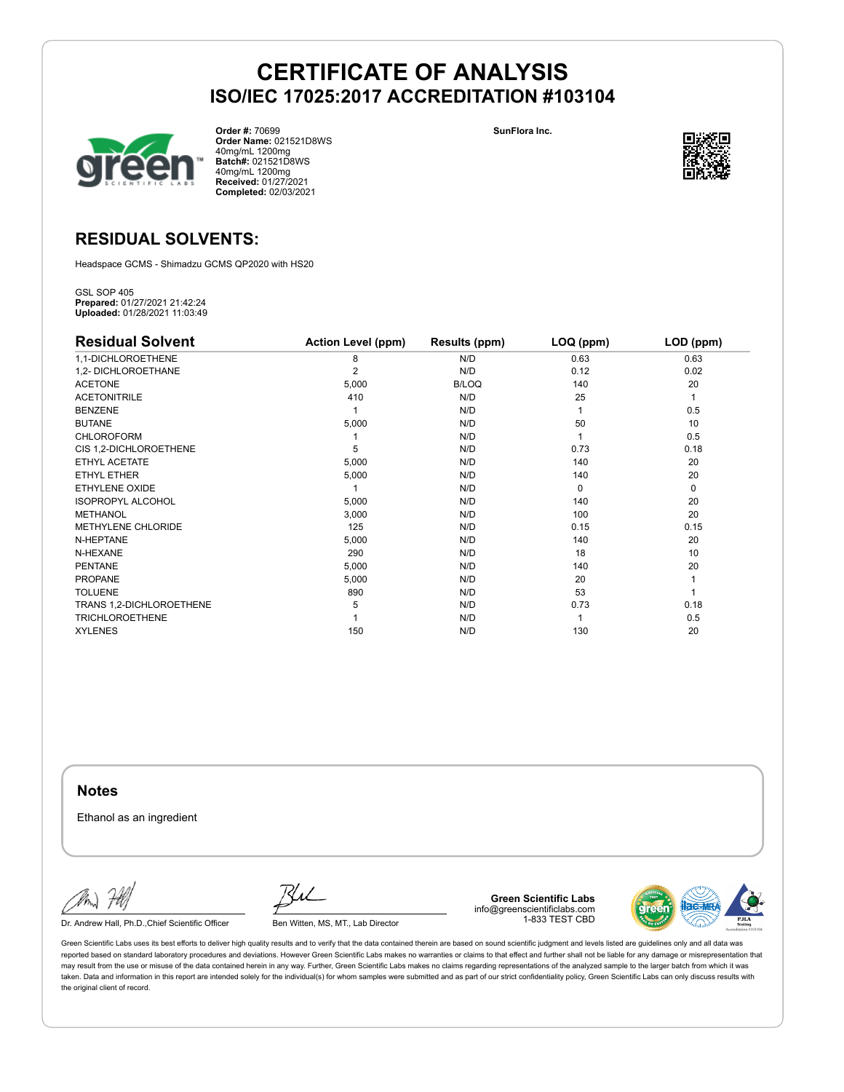

**Order #:** 70699 **Order Name:** 021521D8WS 40mg/mL 1200mg **Batch#:** 021521D8WS 40mg/mL 1200mg **Received:** 01/27/2021 **Completed:** 02/03/2021

**SunFlora Inc.**



# **RESIDUAL SOLVENTS:**

Headspace GCMS - Shimadzu GCMS QP2020 with HS20

GSL SOP 405 **Prepared:** 01/27/2021 21:42:24 **Uploaded:** 01/28/2021 11:03:49

| <b>Residual Solvent</b>   | <b>Action Level (ppm)</b> | Results (ppm) | LOQ (ppm) | LOD (ppm)   |
|---------------------------|---------------------------|---------------|-----------|-------------|
| 1,1-DICHLOROETHENE        | 8                         | N/D           | 0.63      | 0.63        |
| 1,2- DICHLOROETHANE       | 2                         | N/D           | 0.12      | 0.02        |
| <b>ACETONE</b>            | 5,000                     | B/LOQ         | 140       | 20          |
| <b>ACETONITRILE</b>       | 410                       | N/D           | 25        | 1           |
| <b>BENZENE</b>            |                           | N/D           |           | 0.5         |
| <b>BUTANE</b>             | 5,000                     | N/D           | 50        | 10          |
| <b>CHLOROFORM</b>         |                           | N/D           |           | 0.5         |
| CIS 1,2-DICHLOROETHENE    | 5                         | N/D           | 0.73      | 0.18        |
| ETHYL ACETATE             | 5,000                     | N/D           | 140       | 20          |
| <b>ETHYL ETHER</b>        | 5,000                     | N/D           | 140       | 20          |
| ETHYLENE OXIDE            |                           | N/D           | $\Omega$  | $\mathbf 0$ |
| <b>ISOPROPYL ALCOHOL</b>  | 5,000                     | N/D           | 140       | 20          |
| <b>METHANOL</b>           | 3,000                     | N/D           | 100       | 20          |
| <b>METHYLENE CHLORIDE</b> | 125                       | N/D           | 0.15      | 0.15        |
| N-HEPTANE                 | 5,000                     | N/D           | 140       | 20          |
| N-HEXANE                  | 290                       | N/D           | 18        | 10          |
| <b>PENTANE</b>            | 5,000                     | N/D           | 140       | 20          |
| <b>PROPANE</b>            | 5,000                     | N/D           | 20        |             |
| <b>TOLUENE</b>            | 890                       | N/D           | 53        |             |
| TRANS 1,2-DICHLOROETHENE  | 5                         | N/D           | 0.73      | 0.18        |
| <b>TRICHLOROETHENE</b>    |                           | N/D           |           | 0.5         |
| <b>XYLENES</b>            | 150                       | N/D           | 130       | 20          |

**Notes**

Ethanol as an ingredient

Dr. Andrew Hall, Ph.D., Chief Scientific Officer Ben Witten, MS, MT., Lab Director

**Green Scientific Labs** info@greenscientificlabs.com 1-833 TEST CBD

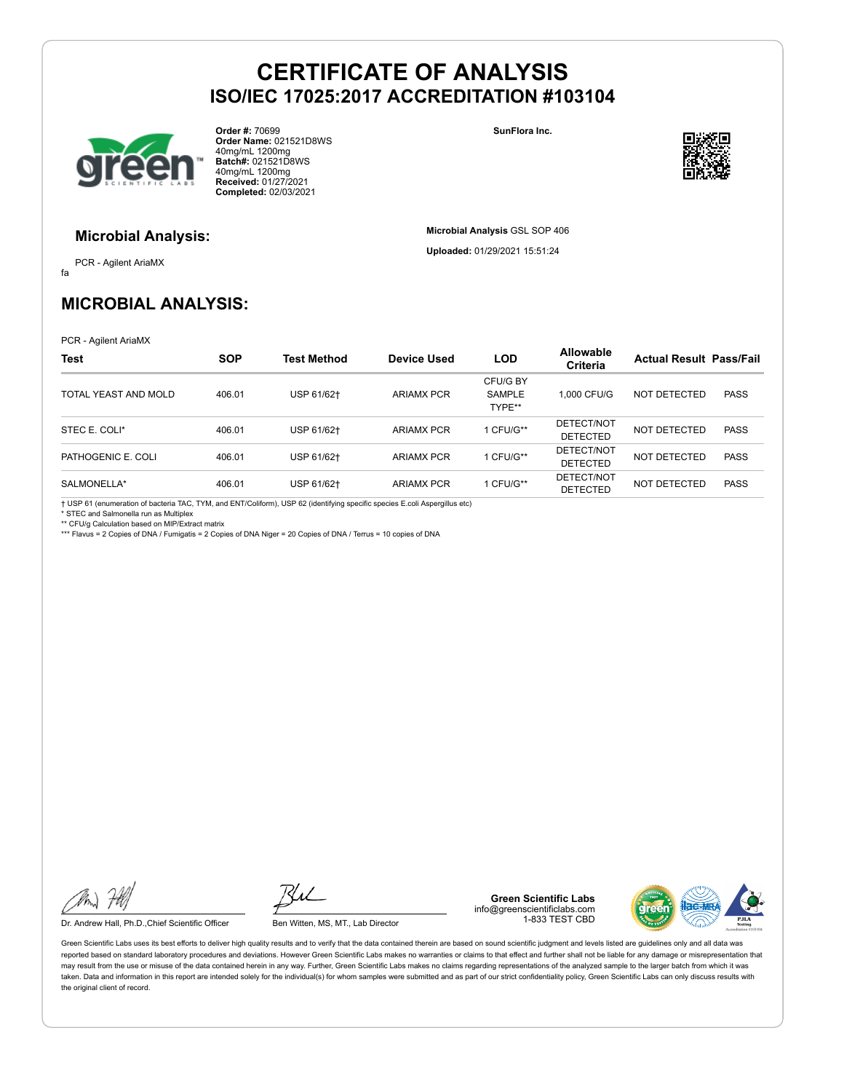

**Order #:** 70699 **Order Name:** 021521D8WS 40mg/mL 1200mg **Batch#:** 021521D8WS 40mg/mL 1200mg **Received:** 01/27/2021 **Completed:** 02/03/2021

**SunFlora Inc.**

**Microbial Analysis** GSL SOP 406 **Uploaded:** 01/29/2021 15:51:24



#### **Microbial Analysis:**

fa PCR - Agilent AriaMX

# **MICROBIAL ANALYSIS:**

PCR - Agilent AriaMX

| <b>Test</b>          | <b>SOP</b> | <b>Test Method</b> | Device Used       | <b>LOD</b>                   | <b>Allowable</b><br>Criteria  | <b>Actual Result Pass/Fail</b> |             |
|----------------------|------------|--------------------|-------------------|------------------------------|-------------------------------|--------------------------------|-------------|
| TOTAL YEAST AND MOLD | 406.01     | USP 61/62+         | <b>ARIAMX PCR</b> | CFU/G BY<br>SAMPLE<br>TYPE** | 1.000 CFU/G                   | NOT DETECTED                   | <b>PASS</b> |
| STEC E. COLI*        | 406.01     | USP 61/62+         | <b>ARIAMX PCR</b> | 1 CFU/G**                    | DETECT/NOT<br><b>DETECTED</b> | NOT DETECTED                   | <b>PASS</b> |
| PATHOGENIC E. COLI   | 406.01     | USP 61/62+         | <b>ARIAMX PCR</b> | 1 CFU/G**                    | DETECT/NOT<br><b>DETECTED</b> | NOT DETECTED                   | <b>PASS</b> |
| SALMONELLA*          | 406.01     | USP 61/62+         | <b>ARIAMX PCR</b> | 1 CFU/G**                    | DETECT/NOT<br><b>DETECTED</b> | NOT DETECTED                   | <b>PASS</b> |

† USP 61 (enumeration of bacteria TAC, TYM, and ENT/Coliform), USP 62 (identifying specific species E.coli Aspergillus etc) \* STEC and Salmonella run as Multiplex

\*\* CFU/g Calculation based on MIP/Extract matrix \*\*\* Flavus = 2 Copies of DNA / Fumigatis = 2 Copies of DNA Niger = 20 Copies of DNA / Terrus = 10 copies of DNA

Dr. Andrew Hall, Ph.D., Chief Scientific Officer Ben Witten, MS, MT., Lab Director

**Green Scientific Labs** info@greenscientificlabs.com 1-833 TEST CBD